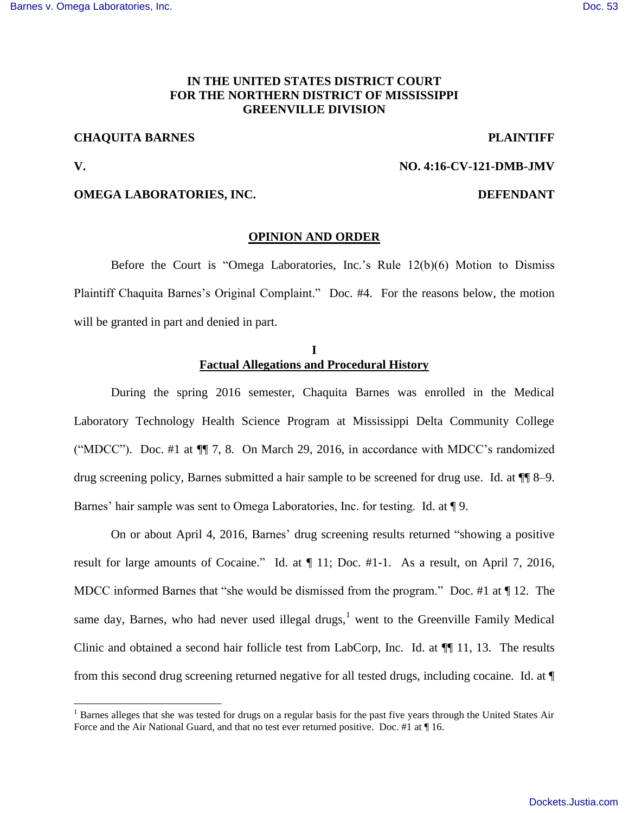# **IN THE UNITED STATES DISTRICT COURT FOR THE NORTHERN DISTRICT OF MISSISSIPPI GREENVILLE DIVISION**

# **CHAQUITA BARNES PLAINTIFF**

l

# **V. NO. 4:16-CV-121-DMB-JMV**

## **OMEGA LABORATORIES, INC.** DEFENDANT

#### **OPINION AND ORDER**

 Before the Court is "Omega Laboratories, Inc.'s Rule 12(b)(6) Motion to Dismiss Plaintiff Chaquita Barnes's Original Complaint." Doc. #4. For the reasons below, the motion will be granted in part and denied in part.

# **I Factual Allegations and Procedural History**

 During the spring 2016 semester, Chaquita Barnes was enrolled in the Medical Laboratory Technology Health Science Program at Mississippi Delta Community College ("MDCC"). Doc. #1 at ¶¶ 7, 8. On March 29, 2016, in accordance with MDCC's randomized drug screening policy, Barnes submitted a hair sample to be screened for drug use. Id. at ¶¶ 8–9. Barnes' hair sample was sent to Omega Laboratories, Inc. for testing. Id. at ¶ 9.

 On or about April 4, 2016, Barnes' drug screening results returned "showing a positive result for large amounts of Cocaine." Id. at ¶ 11; Doc. #1-1. As a result, on April 7, 2016, MDCC informed Barnes that "she would be dismissed from the program." Doc. #1 at ¶ 12. The same day, Barnes, who had never used illegal drugs, $<sup>1</sup>$  went to the Greenville Family Medical</sup> Clinic and obtained a second hair follicle test from LabCorp, Inc. Id. at ¶¶ 11, 13. The results from this second drug screening returned negative for all tested drugs, including cocaine. Id. at ¶

<sup>&</sup>lt;sup>1</sup> Barnes alleges that she was tested for drugs on a regular basis for the past five years through the United States Air Force and the Air National Guard, and that no test ever returned positive. Doc. #1 at  $\P$  16.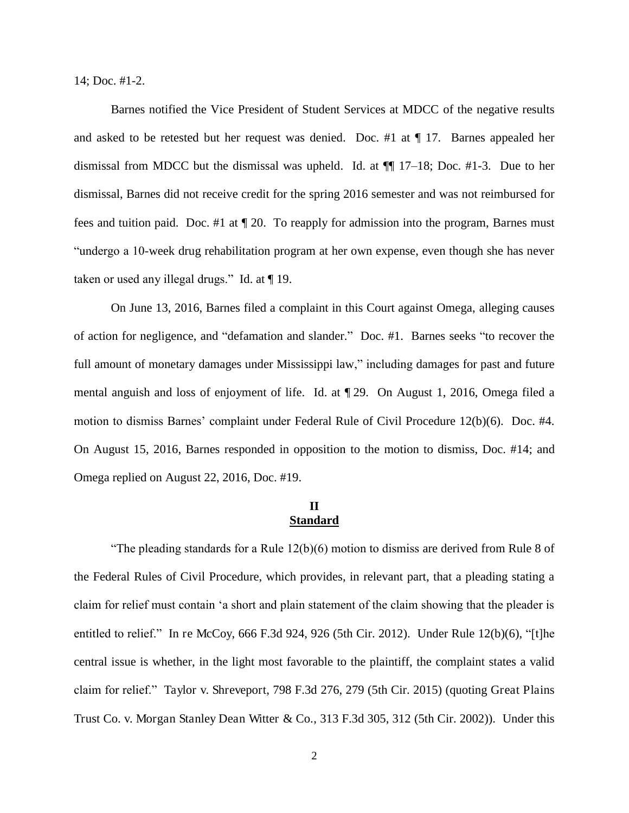14; Doc. #1-2.

 Barnes notified the Vice President of Student Services at MDCC of the negative results and asked to be retested but her request was denied. Doc. #1 at ¶ 17. Barnes appealed her dismissal from MDCC but the dismissal was upheld. Id. at  $\P$  17–18; Doc. #1-3. Due to her dismissal, Barnes did not receive credit for the spring 2016 semester and was not reimbursed for fees and tuition paid. Doc. #1 at ¶ 20. To reapply for admission into the program, Barnes must "undergo a 10-week drug rehabilitation program at her own expense, even though she has never taken or used any illegal drugs." Id. at ¶ 19.

 On June 13, 2016, Barnes filed a complaint in this Court against Omega, alleging causes of action for negligence, and "defamation and slander." Doc. #1. Barnes seeks "to recover the full amount of monetary damages under Mississippi law," including damages for past and future mental anguish and loss of enjoyment of life. Id. at ¶ 29. On August 1, 2016, Omega filed a motion to dismiss Barnes' complaint under Federal Rule of Civil Procedure 12(b)(6). Doc. #4. On August 15, 2016, Barnes responded in opposition to the motion to dismiss, Doc. #14; and Omega replied on August 22, 2016, Doc. #19.

# **II Standard**

"The pleading standards for a Rule 12(b)(6) motion to dismiss are derived from Rule 8 of the Federal Rules of Civil Procedure, which provides, in relevant part, that a pleading stating a claim for relief must contain 'a short and plain statement of the claim showing that the pleader is entitled to relief." In re McCoy, 666 F.3d 924, 926 (5th Cir. 2012). Under Rule 12(b)(6), "[t]he central issue is whether, in the light most favorable to the plaintiff, the complaint states a valid claim for relief." Taylor v. Shreveport, 798 F.3d 276, 279 (5th Cir. 2015) (quoting Great Plains Trust Co. v. Morgan Stanley Dean Witter & Co., 313 F.3d 305, 312 (5th Cir. 2002)). Under this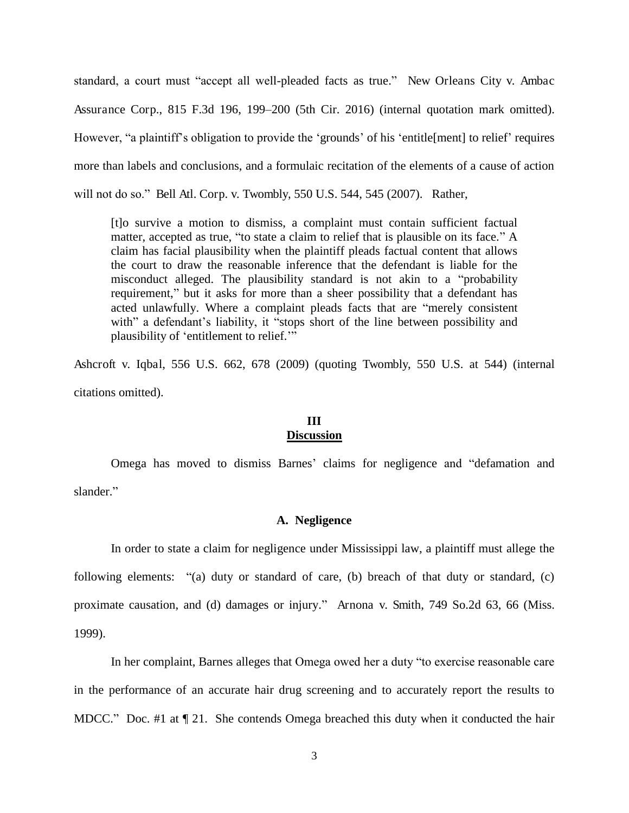standard, a court must "accept all well-pleaded facts as true." New Orleans City v. Ambac Assurance Corp., 815 F.3d 196, 199–200 (5th Cir. 2016) (internal quotation mark omitted). However, "a plaintiff's obligation to provide the 'grounds' of his 'entitle[ment] to relief' requires more than labels and conclusions, and a formulaic recitation of the elements of a cause of action will not do so." Bell Atl. Corp. v. Twombly, 550 U.S. 544, 545 (2007). Rather,

[t]o survive a motion to dismiss, a complaint must contain sufficient factual matter, accepted as true, "to state a claim to relief that is plausible on its face." A claim has facial plausibility when the plaintiff pleads factual content that allows the court to draw the reasonable inference that the defendant is liable for the misconduct alleged. The plausibility standard is not akin to a "probability requirement," but it asks for more than a sheer possibility that a defendant has acted unlawfully. Where a complaint pleads facts that are "merely consistent with" a defendant's liability, it "stops short of the line between possibility and plausibility of 'entitlement to relief.'"

Ashcroft v. Iqbal, 556 U.S. 662, 678 (2009) (quoting Twombly, 550 U.S. at 544) (internal citations omitted).

# **III**

# **Discussion**

Omega has moved to dismiss Barnes' claims for negligence and "defamation and slander."

#### **A. Negligence**

 In order to state a claim for negligence under Mississippi law, a plaintiff must allege the following elements: "(a) duty or standard of care, (b) breach of that duty or standard, (c) proximate causation, and (d) damages or injury." Arnona v. Smith, 749 So.2d 63, 66 (Miss. 1999).

 In her complaint, Barnes alleges that Omega owed her a duty "to exercise reasonable care in the performance of an accurate hair drug screening and to accurately report the results to MDCC." Doc. #1 at  $\P$  21. She contends Omega breached this duty when it conducted the hair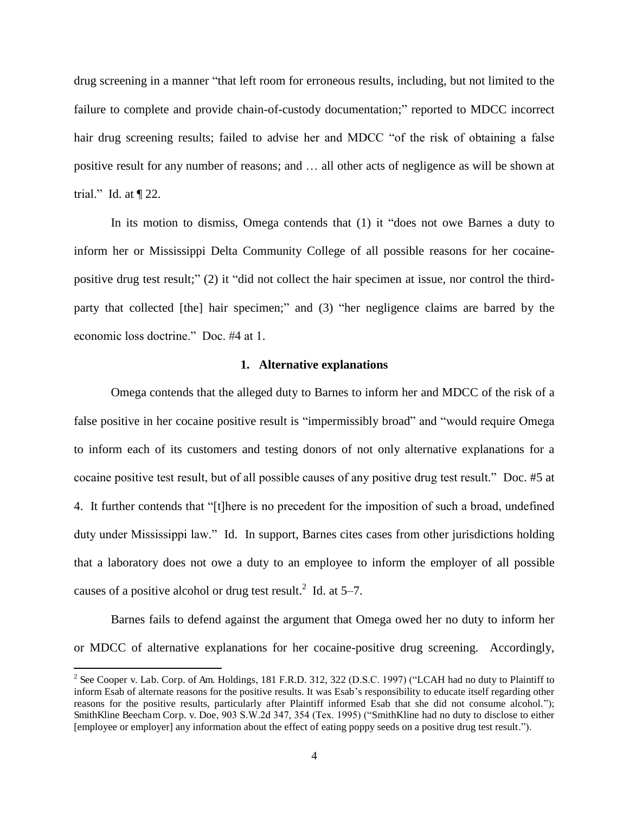drug screening in a manner "that left room for erroneous results, including, but not limited to the failure to complete and provide chain-of-custody documentation;" reported to MDCC incorrect hair drug screening results; failed to advise her and MDCC "of the risk of obtaining a false positive result for any number of reasons; and … all other acts of negligence as will be shown at trial." Id. at  $\P$  22.

 In its motion to dismiss, Omega contends that (1) it "does not owe Barnes a duty to inform her or Mississippi Delta Community College of all possible reasons for her cocainepositive drug test result;" (2) it "did not collect the hair specimen at issue, nor control the thirdparty that collected [the] hair specimen;" and (3) "her negligence claims are barred by the economic loss doctrine." Doc. #4 at 1.

#### **1. Alternative explanations**

 Omega contends that the alleged duty to Barnes to inform her and MDCC of the risk of a false positive in her cocaine positive result is "impermissibly broad" and "would require Omega to inform each of its customers and testing donors of not only alternative explanations for a cocaine positive test result, but of all possible causes of any positive drug test result." Doc. #5 at 4. It further contends that "[t]here is no precedent for the imposition of such a broad, undefined duty under Mississippi law." Id. In support, Barnes cites cases from other jurisdictions holding that a laboratory does not owe a duty to an employee to inform the employer of all possible causes of a positive alcohol or drug test result.<sup>2</sup> Id. at  $5-7$ .

 Barnes fails to defend against the argument that Omega owed her no duty to inform her or MDCC of alternative explanations for her cocaine-positive drug screening. Accordingly,

l

<sup>&</sup>lt;sup>2</sup> See Cooper v. Lab. Corp. of Am. Holdings, 181 F.R.D. 312, 322 (D.S.C. 1997) ("LCAH had no duty to Plaintiff to inform Esab of alternate reasons for the positive results. It was Esab's responsibility to educate itself regarding other reasons for the positive results, particularly after Plaintiff informed Esab that she did not consume alcohol."); SmithKline Beecham Corp. v. Doe, 903 S.W.2d 347, 354 (Tex. 1995) ("SmithKline had no duty to disclose to either [employee or employer] any information about the effect of eating poppy seeds on a positive drug test result.").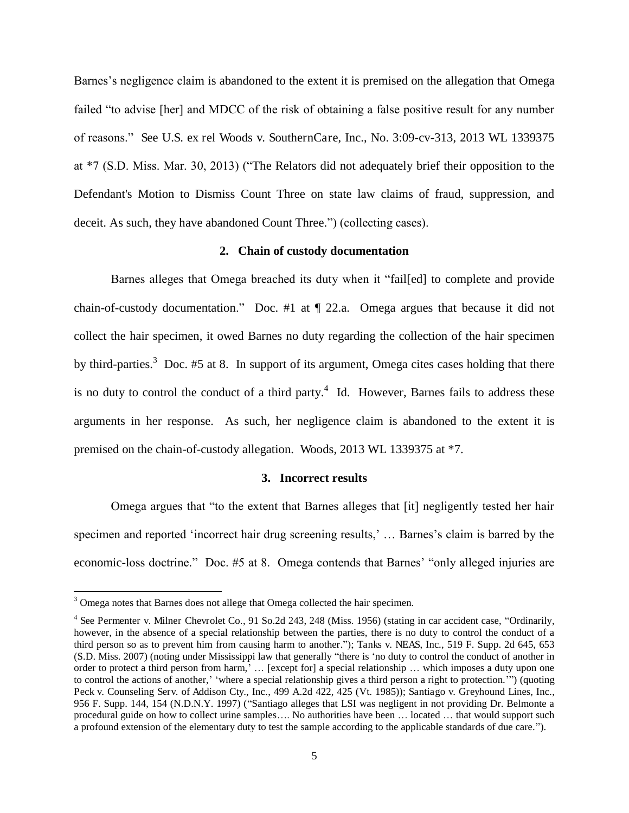Barnes's negligence claim is abandoned to the extent it is premised on the allegation that Omega failed "to advise [her] and MDCC of the risk of obtaining a false positive result for any number of reasons." See U.S. ex rel Woods v. SouthernCare, Inc., No. 3:09-cv-313, 2013 WL 1339375 at \*7 (S.D. Miss. Mar. 30, 2013) ("The Relators did not adequately brief their opposition to the Defendant's Motion to Dismiss Count Three on state law claims of fraud, suppression, and deceit. As such, they have abandoned Count Three.") (collecting cases).

# **2. Chain of custody documentation**

Barnes alleges that Omega breached its duty when it "fail[ed] to complete and provide chain-of-custody documentation." Doc. #1 at ¶ 22.a. Omega argues that because it did not collect the hair specimen, it owed Barnes no duty regarding the collection of the hair specimen by third-parties.<sup>3</sup> Doc. #5 at 8. In support of its argument, Omega cites cases holding that there is no duty to control the conduct of a third party.<sup>4</sup> Id. However, Barnes fails to address these arguments in her response. As such, her negligence claim is abandoned to the extent it is premised on the chain-of-custody allegation. Woods, 2013 WL 1339375 at \*7.

#### **3. Incorrect results**

 Omega argues that "to the extent that Barnes alleges that [it] negligently tested her hair specimen and reported 'incorrect hair drug screening results,' … Barnes's claim is barred by the economic-loss doctrine." Doc. #5 at 8. Omega contends that Barnes' "only alleged injuries are

l

<sup>&</sup>lt;sup>3</sup> Omega notes that Barnes does not allege that Omega collected the hair specimen.

<sup>&</sup>lt;sup>4</sup> See Permenter v. Milner Chevrolet Co., 91 So.2d 243, 248 (Miss. 1956) (stating in car accident case, "Ordinarily, however, in the absence of a special relationship between the parties, there is no duty to control the conduct of a third person so as to prevent him from causing harm to another."); Tanks v. NEAS, Inc., 519 F. Supp. 2d 645, 653 (S.D. Miss. 2007) (noting under Mississippi law that generally "there is 'no duty to control the conduct of another in order to protect a third person from harm,' … [except for] a special relationship … which imposes a duty upon one to control the actions of another,' 'where a special relationship gives a third person a right to protection.'") (quoting Peck v. Counseling Serv. of Addison Cty., Inc., 499 A.2d 422, 425 (Vt. 1985)); Santiago v. Greyhound Lines, Inc., 956 F. Supp. 144, 154 (N.D.N.Y. 1997) ("Santiago alleges that LSI was negligent in not providing Dr. Belmonte a procedural guide on how to collect urine samples…. No authorities have been … located … that would support such a profound extension of the elementary duty to test the sample according to the applicable standards of due care.").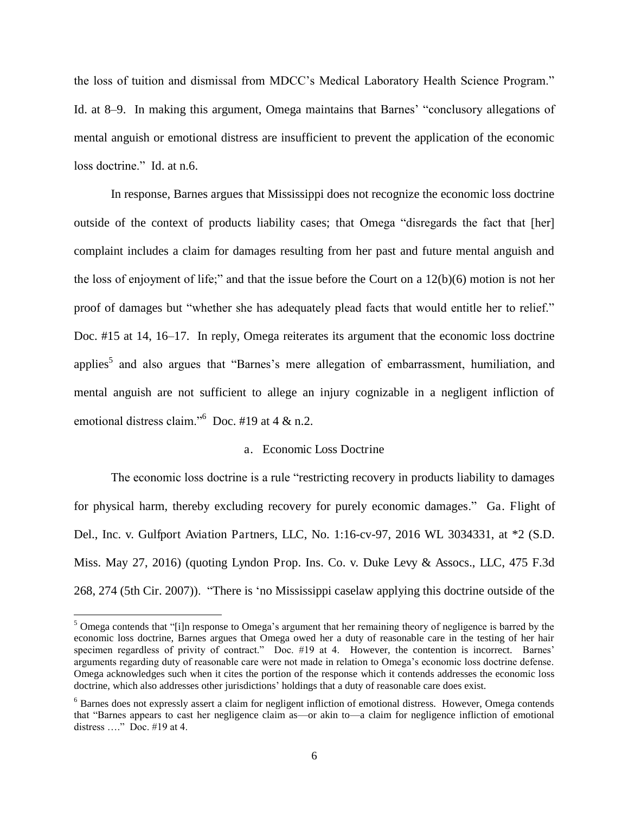the loss of tuition and dismissal from MDCC's Medical Laboratory Health Science Program." Id. at 8–9. In making this argument, Omega maintains that Barnes' "conclusory allegations of mental anguish or emotional distress are insufficient to prevent the application of the economic loss doctrine." Id. at n.6.

 In response, Barnes argues that Mississippi does not recognize the economic loss doctrine outside of the context of products liability cases; that Omega "disregards the fact that [her] complaint includes a claim for damages resulting from her past and future mental anguish and the loss of enjoyment of life;" and that the issue before the Court on a 12(b)(6) motion is not her proof of damages but "whether she has adequately plead facts that would entitle her to relief." Doc. #15 at 14, 16–17. In reply, Omega reiterates its argument that the economic loss doctrine applies<sup>5</sup> and also argues that "Barnes's mere allegation of embarrassment, humiliation, and mental anguish are not sufficient to allege an injury cognizable in a negligent infliction of emotional distress claim."<sup>6</sup> Doc. #19 at 4 & n.2.

### a. Economic Loss Doctrine

The economic loss doctrine is a rule "restricting recovery in products liability to damages for physical harm, thereby excluding recovery for purely economic damages." Ga. Flight of Del., Inc. v. Gulfport Aviation Partners, LLC, No. 1:16-cv-97, 2016 WL 3034331, at \*2 (S.D. Miss. May 27, 2016) (quoting Lyndon Prop. Ins. Co. v. Duke Levy & Assocs., LLC, 475 F.3d 268, 274 (5th Cir. 2007)). "There is 'no Mississippi caselaw applying this doctrine outside of the

 $\overline{a}$ 

<sup>&</sup>lt;sup>5</sup> Omega contends that "[i]n response to Omega's argument that her remaining theory of negligence is barred by the economic loss doctrine, Barnes argues that Omega owed her a duty of reasonable care in the testing of her hair specimen regardless of privity of contract." Doc. #19 at 4. However, the contention is incorrect. Barnes' arguments regarding duty of reasonable care were not made in relation to Omega's economic loss doctrine defense. Omega acknowledges such when it cites the portion of the response which it contends addresses the economic loss doctrine, which also addresses other jurisdictions' holdings that a duty of reasonable care does exist.

<sup>&</sup>lt;sup>6</sup> Barnes does not expressly assert a claim for negligent infliction of emotional distress. However, Omega contends that "Barnes appears to cast her negligence claim as—or akin to—a claim for negligence infliction of emotional distress …." Doc. #19 at 4.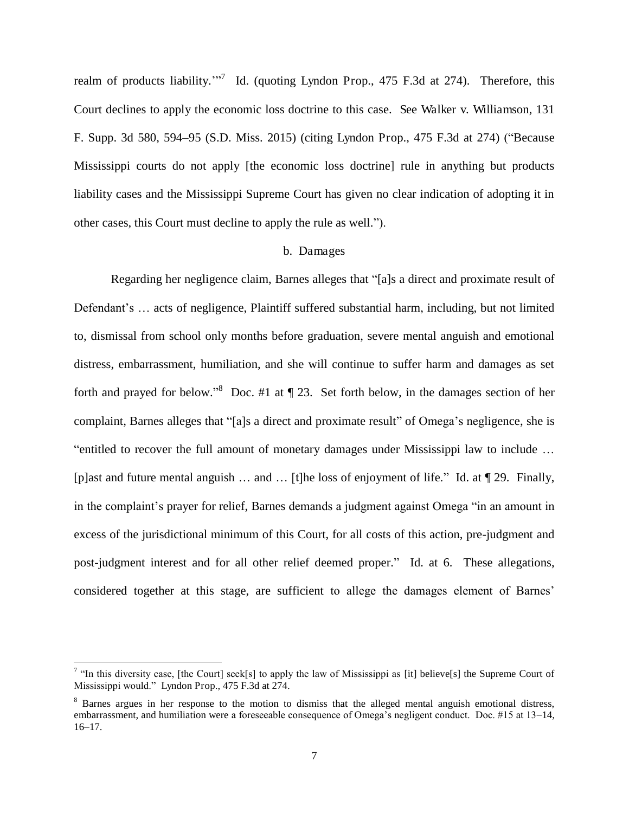realm of products liability."<sup>7</sup> Id. (quoting Lyndon Prop., 475 F.3d at 274). Therefore, this Court declines to apply the economic loss doctrine to this case. See Walker v. Williamson, 131 F. Supp. 3d 580, 594–95 (S.D. Miss. 2015) (citing Lyndon Prop., 475 F.3d at 274) ("Because Mississippi courts do not apply [the economic loss doctrine] rule in anything but products liability cases and the Mississippi Supreme Court has given no clear indication of adopting it in other cases, this Court must decline to apply the rule as well.").

#### b. Damages

 Regarding her negligence claim, Barnes alleges that "[a]s a direct and proximate result of Defendant's … acts of negligence, Plaintiff suffered substantial harm, including, but not limited to, dismissal from school only months before graduation, severe mental anguish and emotional distress, embarrassment, humiliation, and she will continue to suffer harm and damages as set forth and prayed for below."<sup>8</sup> Doc. #1 at  $\P$  23. Set forth below, in the damages section of her complaint, Barnes alleges that "[a]s a direct and proximate result" of Omega's negligence, she is "entitled to recover the full amount of monetary damages under Mississippi law to include … [p]ast and future mental anguish … and … [t]he loss of enjoyment of life." Id. at ¶ 29. Finally, in the complaint's prayer for relief, Barnes demands a judgment against Omega "in an amount in excess of the jurisdictional minimum of this Court, for all costs of this action, pre-judgment and post-judgment interest and for all other relief deemed proper." Id. at 6. These allegations, considered together at this stage, are sufficient to allege the damages element of Barnes'

l

<sup>&</sup>lt;sup>7</sup> "In this diversity case, [the Court] seek[s] to apply the law of Mississippi as [it] believe[s] the Supreme Court of Mississippi would." Lyndon Prop., 475 F.3d at 274.

<sup>&</sup>lt;sup>8</sup> Barnes argues in her response to the motion to dismiss that the alleged mental anguish emotional distress, embarrassment, and humiliation were a foreseeable consequence of Omega's negligent conduct. Doc. #15 at 13–14, 16–17.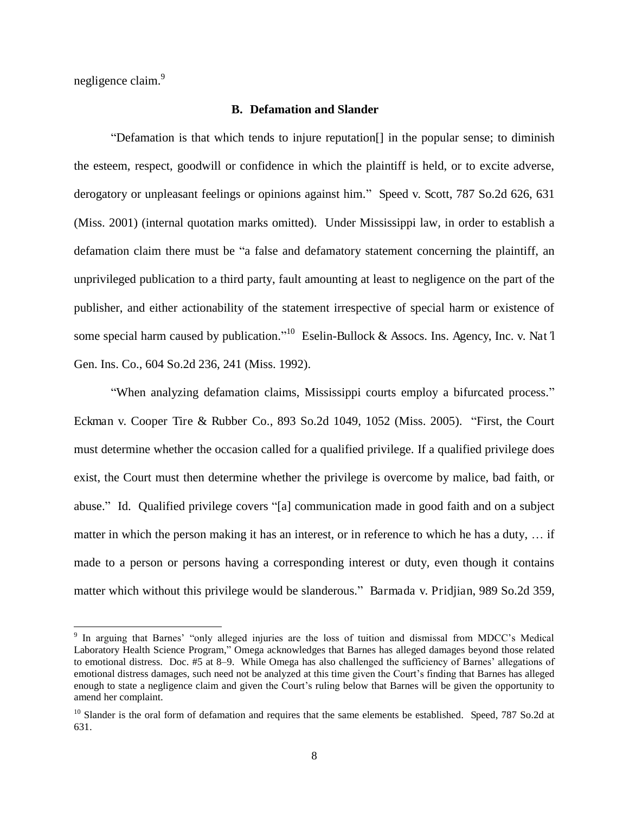negligence claim.<sup>9</sup>

l

### **B. Defamation and Slander**

 "Defamation is that which tends to injure reputation[] in the popular sense; to diminish the esteem, respect, goodwill or confidence in which the plaintiff is held, or to excite adverse, derogatory or unpleasant feelings or opinions against him." Speed v. Scott, 787 So.2d 626, 631 (Miss. 2001) (internal quotation marks omitted). Under Mississippi law, in order to establish a defamation claim there must be "a false and defamatory statement concerning the plaintiff, an unprivileged publication to a third party, fault amounting at least to negligence on the part of the publisher, and either actionability of the statement irrespective of special harm or existence of some special harm caused by publication." 10 Eselin-Bullock & Assocs. Ins. Agency, Inc. v. Nat*'*l Gen. Ins. Co., 604 So.2d 236, 241 (Miss. 1992).

"When analyzing defamation claims, Mississippi courts employ a bifurcated process." Eckman v. Cooper Tire & Rubber Co., 893 So.2d 1049, 1052 (Miss. 2005). "First, the Court must determine whether the occasion called for a qualified privilege. If a qualified privilege does exist, the Court must then determine whether the privilege is overcome by malice, bad faith, or abuse." Id. Qualified privilege covers "[a] communication made in good faith and on a subject matter in which the person making it has an interest, or in reference to which he has a duty, … if made to a person or persons having a corresponding interest or duty, even though it contains matter which without this privilege would be slanderous." Barmada v. Pridjian, 989 So.2d 359,

<sup>&</sup>lt;sup>9</sup> In arguing that Barnes' "only alleged injuries are the loss of tuition and dismissal from MDCC's Medical Laboratory Health Science Program," Omega acknowledges that Barnes has alleged damages beyond those related to emotional distress. Doc. #5 at 8–9. While Omega has also challenged the sufficiency of Barnes' allegations of emotional distress damages, such need not be analyzed at this time given the Court's finding that Barnes has alleged enough to state a negligence claim and given the Court's ruling below that Barnes will be given the opportunity to amend her complaint.

 $10$  Slander is the oral form of defamation and requires that the same elements be established. Speed, 787 So.2d at 631.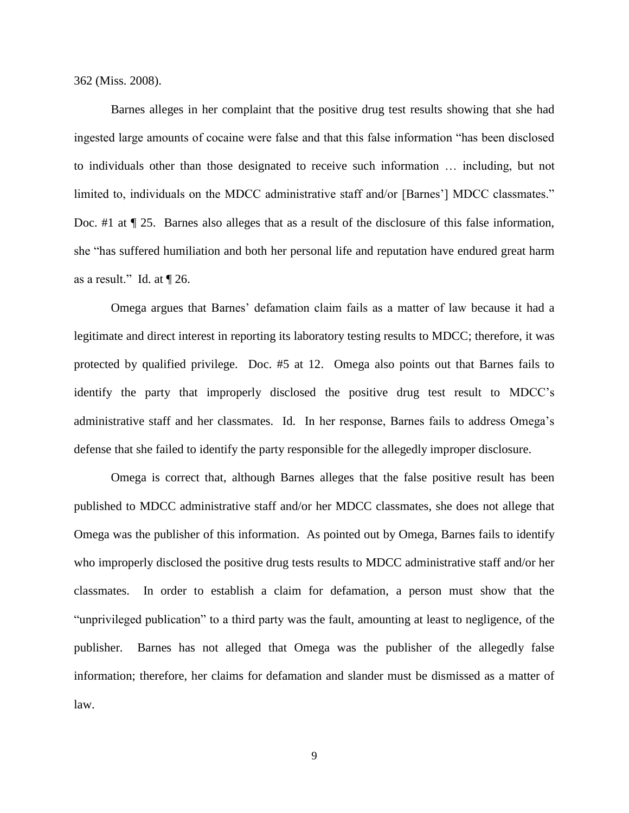362 (Miss. 2008).

 Barnes alleges in her complaint that the positive drug test results showing that she had ingested large amounts of cocaine were false and that this false information "has been disclosed to individuals other than those designated to receive such information … including, but not limited to, individuals on the MDCC administrative staff and/or [Barnes'] MDCC classmates." Doc. #1 at  $\P$  25. Barnes also alleges that as a result of the disclosure of this false information, she "has suffered humiliation and both her personal life and reputation have endured great harm as a result." Id. at ¶ 26.

 Omega argues that Barnes' defamation claim fails as a matter of law because it had a legitimate and direct interest in reporting its laboratory testing results to MDCC; therefore, it was protected by qualified privilege. Doc. #5 at 12. Omega also points out that Barnes fails to identify the party that improperly disclosed the positive drug test result to MDCC's administrative staff and her classmates. Id. In her response, Barnes fails to address Omega's defense that she failed to identify the party responsible for the allegedly improper disclosure.

 Omega is correct that, although Barnes alleges that the false positive result has been published to MDCC administrative staff and/or her MDCC classmates, she does not allege that Omega was the publisher of this information. As pointed out by Omega, Barnes fails to identify who improperly disclosed the positive drug tests results to MDCC administrative staff and/or her classmates. In order to establish a claim for defamation, a person must show that the "unprivileged publication" to a third party was the fault, amounting at least to negligence, of the publisher. Barnes has not alleged that Omega was the publisher of the allegedly false information; therefore, her claims for defamation and slander must be dismissed as a matter of law.